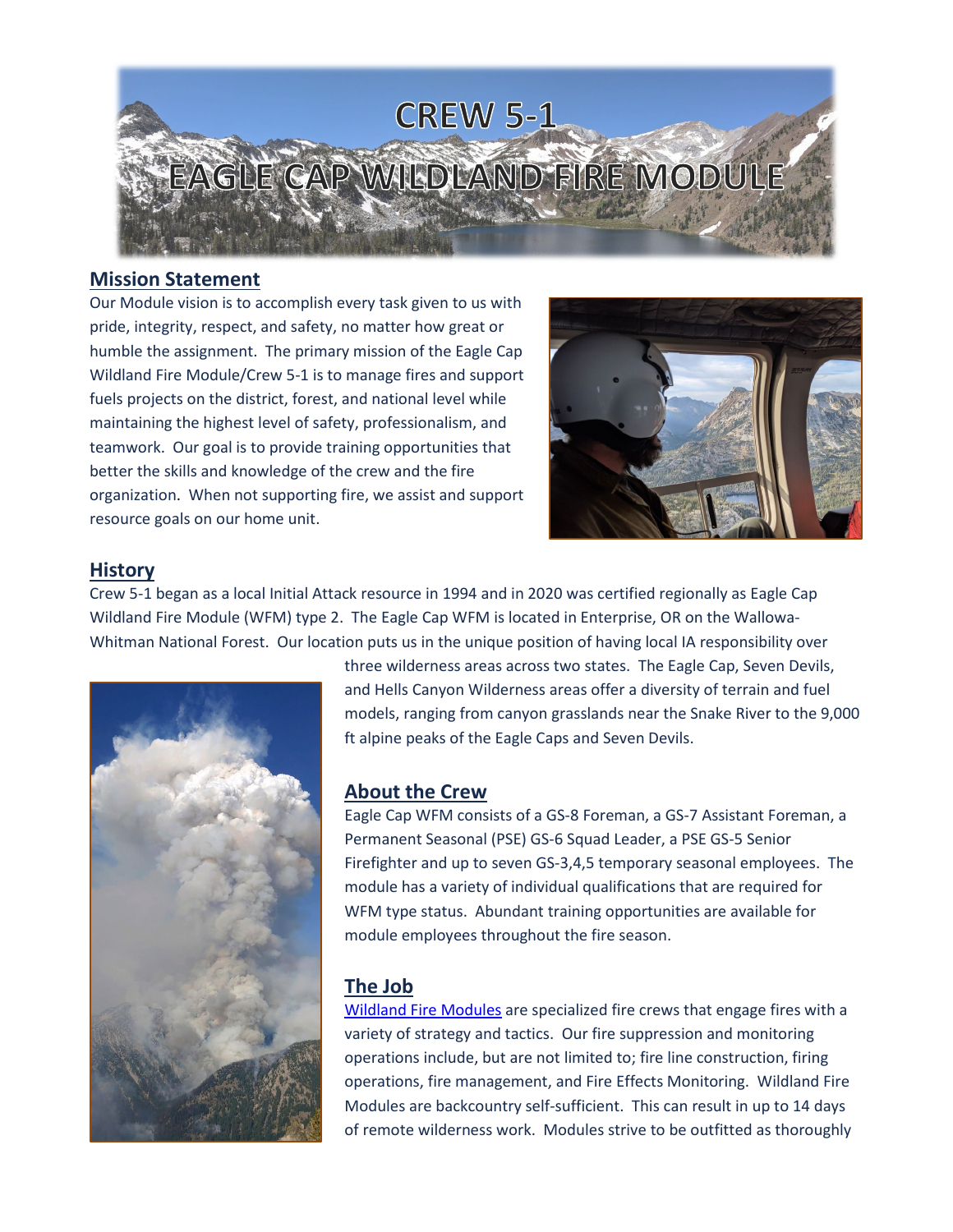

#### **Mission Statement**

Our Module vision is to accomplish every task given to us with pride, integrity, respect, and safety, no matter how great or humble the assignment. The primary mission of the Eagle Cap Wildland Fire Module/Crew 5-1 is to manage fires and support fuels projects on the district, forest, and national level while maintaining the highest level of safety, professionalism, and teamwork. Our goal is to provide training opportunities that better the skills and knowledge of the crew and the fire organization. When not supporting fire, we assist and support resource goals on our home unit.



### **History**

Crew 5-1 began as a local Initial Attack resource in 1994 and in 2020 was certified regionally as Eagle Cap Wildland Fire Module (WFM) type 2. The Eagle Cap WFM is located in Enterprise, OR on the Wallowa-Whitman National Forest. Our location puts us in the unique position of having local IA responsibility over



three wilderness areas across two states. The Eagle Cap, Seven Devils, and Hells Canyon Wilderness areas offer a diversity of terrain and fuel models, ranging from canyon grasslands near the Snake River to the 9,000 ft alpine peaks of the Eagle Caps and Seven Devils.

### **About the Crew**

Eagle Cap WFM consists of a GS-8 Foreman, a GS-7 Assistant Foreman, a Permanent Seasonal (PSE) GS-6 Squad Leader, a PSE GS-5 Senior Firefighter and up to seven GS-3,4,5 temporary seasonal employees. The module has a variety of individual qualifications that are required for WFM type status. Abundant training opportunities are available for module employees throughout the fire season.

# **The Job**

[Wildland Fire Modules](https://youtu.be/JkQd0vipcO8) are specialized fire crews that engage fires with a variety of strategy and tactics. Our fire suppression and monitoring operations include, but are not limited to; fire line construction, firing operations, fire management, and Fire Effects Monitoring. Wildland Fire Modules are backcountry self-sufficient. This can result in up to 14 days of remote wilderness work. Modules strive to be outfitted as thoroughly